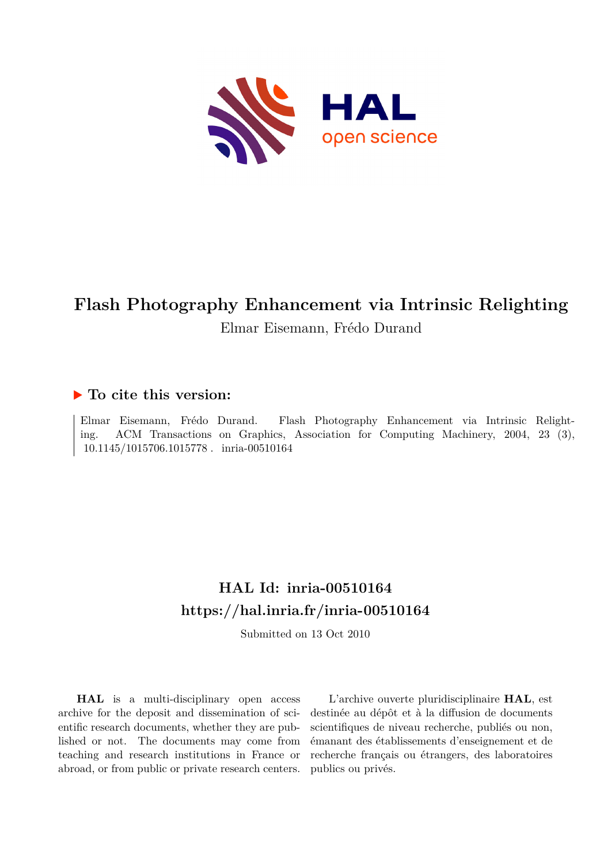

# **Flash Photography Enhancement via Intrinsic Relighting** Elmar Eisemann, Frédo Durand

# **To cite this version:**

Elmar Eisemann, Frédo Durand. Flash Photography Enhancement via Intrinsic Relighting. ACM Transactions on Graphics, Association for Computing Machinery, 2004, 23 (3), 10.1145/1015706.1015778. inria-00510164

# **HAL Id: inria-00510164 <https://hal.inria.fr/inria-00510164>**

Submitted on 13 Oct 2010

**HAL** is a multi-disciplinary open access archive for the deposit and dissemination of scientific research documents, whether they are published or not. The documents may come from teaching and research institutions in France or abroad, or from public or private research centers.

L'archive ouverte pluridisciplinaire **HAL**, est destinée au dépôt et à la diffusion de documents scientifiques de niveau recherche, publiés ou non, émanant des établissements d'enseignement et de recherche français ou étrangers, des laboratoires publics ou privés.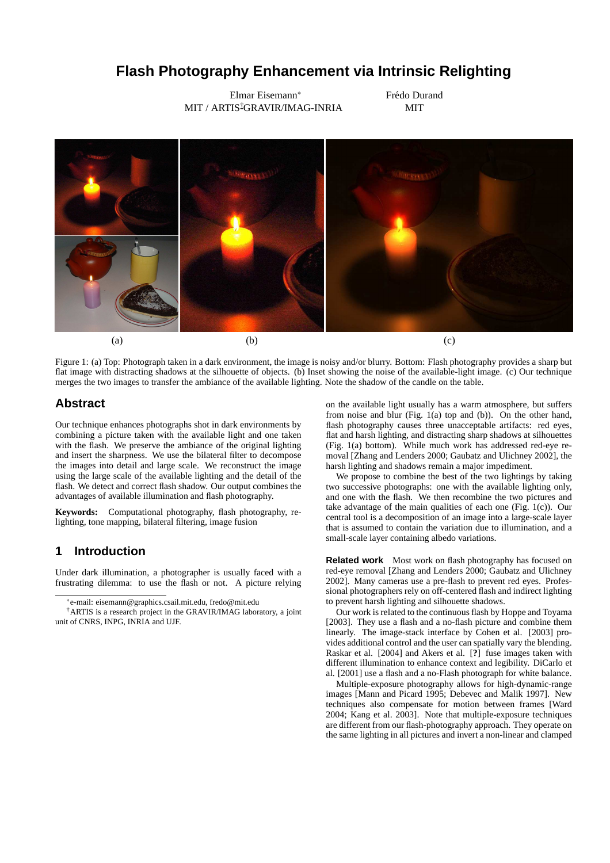# **Flash Photography Enhancement via Intrinsic Relighting**

Elmar Eisemann<sup>∗</sup> MIT / ARTIS<sup>†</sup>GRAVIR/IMAG-INRIA Frédo Durand MIT



Figure 1: (a) Top: Photograph taken in a dark environment, the image is noisy and/or blurry. Bottom: Flash photography provides a sharp but flat image with distracting shadows at the silhouette of objects. (b) Inset showing the noise of the available-light image. (c) Our technique merges the two images to transfer the ambiance of the available lighting. Note the shadow of the candle on the table.

## **Abstract**

Our technique enhances photographs shot in dark environments by combining a picture taken with the available light and one taken with the flash. We preserve the ambiance of the original lighting and insert the sharpness. We use the bilateral filter to decompose the images into detail and large scale. We reconstruct the image using the large scale of the available lighting and the detail of the flash. We detect and correct flash shadow. Our output combines the advantages of available illumination and flash photography.

**Keywords:** Computational photography, flash photography, relighting, tone mapping, bilateral filtering, image fusion

## **1 Introduction**

Under dark illumination, a photographer is usually faced with a frustrating dilemma: to use the flash or not. A picture relying on the available light usually has a warm atmosphere, but suffers from noise and blur (Fig. 1(a) top and (b)). On the other hand, flash photography causes three unacceptable artifacts: red eyes, flat and harsh lighting, and distracting sharp shadows at silhouettes (Fig. 1(a) bottom). While much work has addressed red-eye removal [Zhang and Lenders 2000; Gaubatz and Ulichney 2002], the harsh lighting and shadows remain a major impediment.

We propose to combine the best of the two lightings by taking two successive photographs: one with the available lighting only, and one with the flash. We then recombine the two pictures and take advantage of the main qualities of each one (Fig. 1(c)). Our central tool is a decomposition of an image into a large-scale layer that is assumed to contain the variation due to illumination, and a small-scale layer containing albedo variations.

**Related work** Most work on flash photography has focused on red-eye removal [Zhang and Lenders 2000; Gaubatz and Ulichney 2002]. Many cameras use a pre-flash to prevent red eyes. Professional photographers rely on off-centered flash and indirect lighting to prevent harsh lighting and silhouette shadows.

Our work is related to the continuous flash by Hoppe and Toyama [2003]. They use a flash and a no-flash picture and combine them linearly. The image-stack interface by Cohen et al. [2003] provides additional control and the user can spatially vary the blending. Raskar et al. [2004] and Akers et al. [**?**] fuse images taken with different illumination to enhance context and legibility. DiCarlo et al. [2001] use a flash and a no-Flash photograph for white balance.

Multiple-exposure photography allows for high-dynamic-range images [Mann and Picard 1995; Debevec and Malik 1997]. New techniques also compensate for motion between frames [Ward 2004; Kang et al. 2003]. Note that multiple-exposure techniques are different from our flash-photography approach. They operate on the same lighting in all pictures and invert a non-linear and clamped

<sup>∗</sup> e-mail: eisemann@graphics.csail.mit.edu, fredo@mit.edu

<sup>†</sup>ARTIS is a research project in the GRAVIR/IMAG laboratory, a joint unit of CNRS, INPG, INRIA and UJF.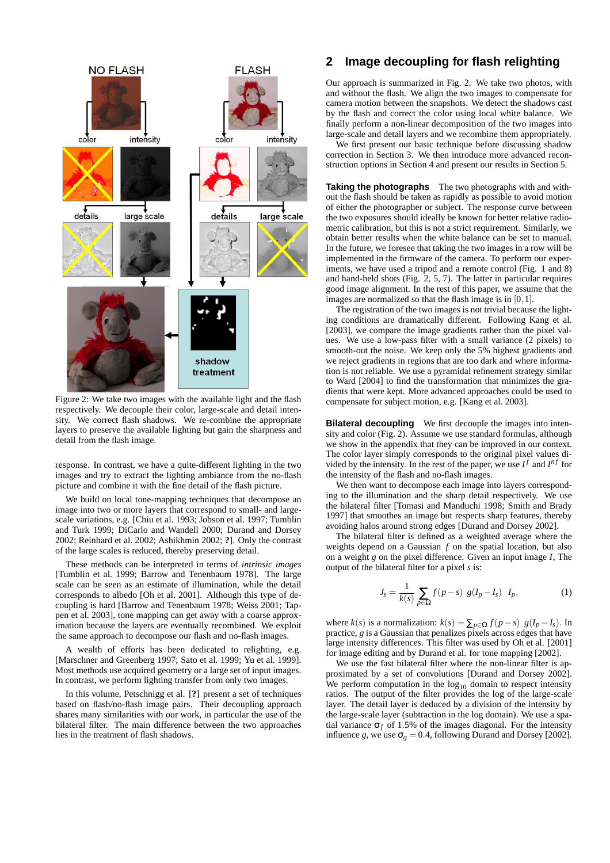

Figure 2: We take two images with the available light and the flash respectively. We decouple their color, large-scale and detail intensity. We correct flash shadows. We re-combine the appropriate layers to preserve the available lighting but gain the sharpness and detail from the flash image.

response. In contrast, we have a quite-different lighting in the two images and try to extract the lighting ambiance from the no-flash picture and combine it with the fine detail of the flash picture.

We build on local tone-mapping techniques that decompose an image into two or more layers that correspond to small- and largescale variations, e.g. [Chiu et al. 1993; Jobson et al. 1997; Tumblin and Turk 1999; DiCarlo and Wandell 2000; Durand and Dorsey 2002; Reinhard et al. 2002; Ashikhmin 2002; **?**]. Only the contrast of the large scales is reduced, thereby preserving detail.

These methods can be interpreted in terms of *intrinsic images* [Tumblin et al. 1999; Barrow and Tenenbaum 1978]. The large scale can be seen as an estimate of illumination, while the detail corresponds to albedo [Oh et al. 2001]. Although this type of decoupling is hard [Barrow and Tenenbaum 1978; Weiss 2001; Tappen et al. 2003], tone mapping can get away with a coarse approximation because the layers are eventually recombined. We exploit the same approach to decompose our flash and no-flash images.

A wealth of efforts has been dedicated to relighting, e.g. [Marschner and Greenberg 1997; Sato et al. 1999; Yu et al. 1999]. Most methods use acquired geometry or a large set of input images. In contrast, we perform lighting transfer from only two images.

In this volume, Petschnigg et al. [**?**] present a set of techniques based on flash/no-flash image pairs. Their decoupling approach shares many similarities with our work, in particular the use of the bilateral filter. The main difference between the two approaches lies in the treatment of flash shadows.

# **2 Image decoupling for flash relighting**

Our approach is summarized in Fig. 2. We take two photos, with and without the flash. We align the two images to compensate for camera motion between the snapshots. We detect the shadows cast by the flash and correct the color using local white balance. We finally perform a non-linear decomposition of the two images into large-scale and detail layers and we recombine them appropriately.

We first present our basic technique before discussing shadow correction in Section 3. We then introduce more advanced reconstruction options in Section 4 and present our results in Section 5.

**Taking the photographs** The two photographs with and without the flash should be taken as rapidly as possible to avoid motion of either the photographer or subject. The response curve between the two exposures should ideally be known for better relative radiometric calibration, but this is not a strict requirement. Similarly, we obtain better results when the white balance can be set to manual. In the future, we foresee that taking the two images in a row will be implemented in the firmware of the camera. To perform our experiments, we have used a tripod and a remote control (Fig. 1 and 8) and hand-held shots (Fig. 2, 5, 7). The latter in particular requires good image alignment. In the rest of this paper, we assume that the images are normalized so that the flash image is in [0,1].

The registration of the two images is not trivial because the lighting conditions are dramatically different. Following Kang et al. [2003], we compare the image gradients rather than the pixel values. We use a low-pass filter with a small variance (2 pixels) to smooth-out the noise. We keep only the 5% highest gradients and we reject gradients in regions that are too dark and where information is not reliable. We use a pyramidal refinement strategy similar to Ward [2004] to find the transformation that minimizes the gradients that were kept. More advanced approaches could be used to compensate for subject motion, e.g. [Kang et al. 2003].

**Bilateral decoupling** We first decouple the images into intensity and color (Fig. 2). Assume we use standard formulas, although we show in the appendix that they can be improved in our context. The color layer simply corresponds to the original pixel values divided by the intensity. In the rest of the paper, we use  $I^f$  and  $I^{nf}$  for the intensity of the flash and no-flash images.

We then want to decompose each image into layers corresponding to the illumination and the sharp detail respectively. We use the bilateral filter [Tomasi and Manduchi 1998; Smith and Brady 1997] that smoothes an image but respects sharp features, thereby avoiding halos around strong edges [Durand and Dorsey 2002].

The bilateral filter is defined as a weighted average where the weights depend on a Gaussian *f* on the spatial location, but also on a weight *g* on the pixel difference. Given an input image *I*, The output of the bilateral filter for a pixel *s* is:

$$
J_s = \frac{1}{k(s)} \sum_{p \in \Omega} f(p - s) g(I_p - I_s) I_p, \qquad (1)
$$

where *k*(*s*) is a normalization:  $k(s) = \sum_{p \in \Omega} f(p - s) g(I_p - I_s)$ . In practice, *g* is a Gaussian that penalizes pixels across edges that have large intensity differences. This filter was used by Oh et al. [2001] for image editing and by Durand et al. for tone mapping [2002].

We use the fast bilateral filter where the non-linear filter is approximated by a set of convolutions [Durand and Dorsey 2002]. We perform computation in the  $log_{10}$  domain to respect intensity ratios. The output of the filter provides the log of the large-scale layer. The detail layer is deduced by a division of the intensity by the large-scale layer (subtraction in the log domain). We use a spatial variance  $\sigma_f$  of 1.5% of the images diagonal. For the intensity influence *g*, we use  $\sigma_g = 0.4$ , following Durand and Dorsey [2002].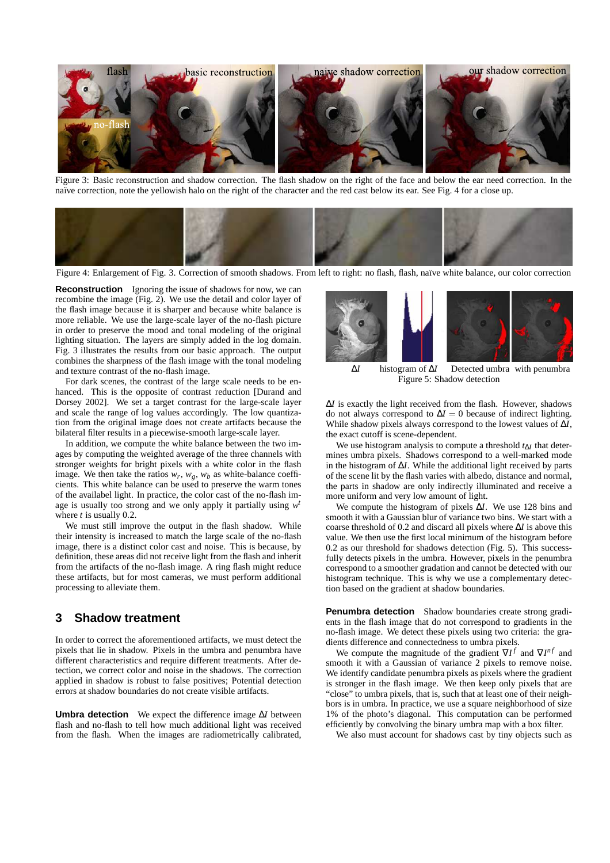

Figure 3: Basic reconstruction and shadow correction. The flash shadow on the right of the face and below the ear need correction. In the naïve correction, note the yellowish halo on the right of the character and the red cast below its ear. See Fig. 4 for a close up.



Figure 4: Enlargement of Fig. 3. Correction of smooth shadows. From left to right: no flash, flash, na¨ıve white balance, our color correction

**Reconstruction** Ignoring the issue of shadows for now, we can recombine the image (Fig. 2). We use the detail and color layer of the flash image because it is sharper and because white balance is more reliable. We use the large-scale layer of the no-flash picture in order to preserve the mood and tonal modeling of the original lighting situation. The layers are simply added in the log domain. Fig. 3 illustrates the results from our basic approach. The output combines the sharpness of the flash image with the tonal modeling and texture contrast of the no-flash image.

For dark scenes, the contrast of the large scale needs to be enhanced. This is the opposite of contrast reduction [Durand and Dorsey 2002]. We set a target contrast for the large-scale layer and scale the range of log values accordingly. The low quantization from the original image does not create artifacts because the bilateral filter results in a piecewise-smooth large-scale layer.

In addition, we compute the white balance between the two images by computing the weighted average of the three channels with stronger weights for bright pixels with a white color in the flash image. We then take the ratios  $w_r$ ,  $w_g$ ,  $w_b$  as white-balance coefficients. This white balance can be used to preserve the warm tones of the availabel light. In practice, the color cast of the no-flash image is usually too strong and we only apply it partially using  $w<sup>t</sup>$ where *t* is usually 0.2.

We must still improve the output in the flash shadow. While their intensity is increased to match the large scale of the no-flash image, there is a distinct color cast and noise. This is because, by definition, these areas did not receive light from the flash and inherit from the artifacts of the no-flash image. A ring flash might reduce these artifacts, but for most cameras, we must perform additional processing to alleviate them.

#### **3 Shadow treatment**

In order to correct the aforementioned artifacts, we must detect the pixels that lie in shadow. Pixels in the umbra and penumbra have different characteristics and require different treatments. After detection, we correct color and noise in the shadows. The correction applied in shadow is robust to false positives; Potential detection errors at shadow boundaries do not create visible artifacts.

**Umbra detection** We expect the difference image ∆*I* between flash and no-flash to tell how much additional light was received from the flash. When the images are radiometrically calibrated,



∆*I* histogram of ∆*I* Detected umbra with penumbra Figure 5: Shadow detection

∆*I* is exactly the light received from the flash. However, shadows do not always correspond to  $\Delta I = 0$  because of indirect lighting. While shadow pixels always correspond to the lowest values of ∆*I*, the exact cutoff is scene-dependent.

We use histogram analysis to compute a threshold *t*∆*<sup>I</sup>* that determines umbra pixels. Shadows correspond to a well-marked mode in the histogram of ∆*I*. While the additional light received by parts of the scene lit by the flash varies with albedo, distance and normal, the parts in shadow are only indirectly illuminated and receive a more uniform and very low amount of light.

We compute the histogram of pixels ∆*I*. We use 128 bins and smooth it with a Gaussian blur of variance two bins. We start with a coarse threshold of 0.2 and discard all pixels where ∆*I* is above this value. We then use the first local minimum of the histogram before 0.2 as our threshold for shadows detection (Fig. 5). This successfully detects pixels in the umbra. However, pixels in the penumbra correspond to a smoother gradation and cannot be detected with our histogram technique. This is why we use a complementary detection based on the gradient at shadow boundaries.

**Penumbra detection** Shadow boundaries create strong gradients in the flash image that do not correspond to gradients in the no-flash image. We detect these pixels using two criteria: the gradients difference and connectedness to umbra pixels.

We compute the magnitude of the gradient  $\nabla I^f$  and  $\nabla I^{nf}$  and smooth it with a Gaussian of variance 2 pixels to remove noise. We identify candidate penumbra pixels as pixels where the gradient is stronger in the flash image. We then keep only pixels that are "close" to umbra pixels, that is, such that at least one of their neighbors is in umbra. In practice, we use a square neighborhood of size 1% of the photo's diagonal. This computation can be performed efficiently by convolving the binary umbra map with a box filter.

We also must account for shadows cast by tiny objects such as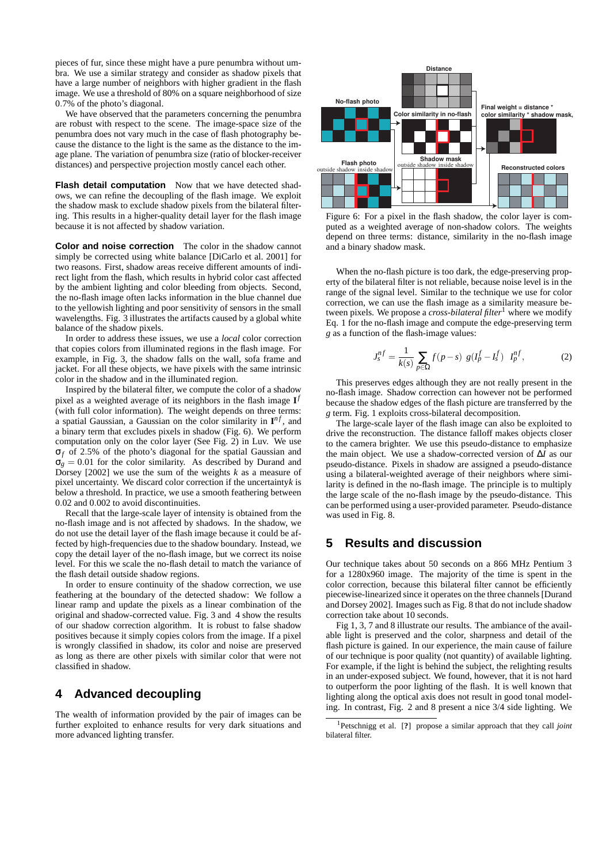pieces of fur, since these might have a pure penumbra without umbra. We use a similar strategy and consider as shadow pixels that have a large number of neighbors with higher gradient in the flash image. We use a threshold of 80% on a square neighborhood of size 0.7% of the photo's diagonal.

We have observed that the parameters concerning the penumbra are robust with respect to the scene. The image-space size of the penumbra does not vary much in the case of flash photography because the distance to the light is the same as the distance to the image plane. The variation of penumbra size (ratio of blocker-receiver distances) and perspective projection mostly cancel each other.

**Flash detail computation** Now that we have detected shadows, we can refine the decoupling of the flash image. We exploit the shadow mask to exclude shadow pixels from the bilateral filtering. This results in a higher-quality detail layer for the flash image because it is not affected by shadow variation.

**Color and noise correction** The color in the shadow cannot simply be corrected using white balance [DiCarlo et al. 2001] for two reasons. First, shadow areas receive different amounts of indirect light from the flash, which results in hybrid color cast affected by the ambient lighting and color bleeding from objects. Second, the no-flash image often lacks information in the blue channel due to the yellowish lighting and poor sensitivity of sensors in the small wavelengths. Fig. 3 illustrates the artifacts caused by a global white balance of the shadow pixels.

In order to address these issues, we use a *local* color correction that copies colors from illuminated regions in the flash image. For example, in Fig. 3, the shadow falls on the wall, sofa frame and jacket. For all these objects, we have pixels with the same intrinsic color in the shadow and in the illuminated region.

Inspired by the bilateral filter, we compute the color of a shadow pixel as a weighted average of its neighbors in the flash image **I** *f* (with full color information). The weight depends on three terms: a spatial Gaussian, a Gaussian on the color similarity in  $I^{nf}$ , and a binary term that excludes pixels in shadow (Fig. 6). We perform computation only on the color layer (See Fig. 2) in Luv. We use σ*<sup>f</sup>* of 2.5% of the photo's diagonal for the spatial Gaussian and  $\sigma_g = 0.01$  for the color similarity. As described by Durand and Dorsey [2002] we use the sum of the weights *k* as a measure of pixel uncertainty. We discard color correction if the uncertainty*k* is below a threshold. In practice, we use a smooth feathering between 0.02 and 0.002 to avoid discontinuities.

Recall that the large-scale layer of intensity is obtained from the no-flash image and is not affected by shadows. In the shadow, we do not use the detail layer of the flash image because it could be affected by high-frequencies due to the shadow boundary. Instead, we copy the detail layer of the no-flash image, but we correct its noise level. For this we scale the no-flash detail to match the variance of the flash detail outside shadow regions.

In order to ensure continuity of the shadow correction, we use feathering at the boundary of the detected shadow: We follow a linear ramp and update the pixels as a linear combination of the original and shadow-corrected value. Fig. 3 and 4 show the results of our shadow correction algorithm. It is robust to false shadow positives because it simply copies colors from the image. If a pixel is wrongly classified in shadow, its color and noise are preserved as long as there are other pixels with similar color that were not classified in shadow.

### **4 Advanced decoupling**

The wealth of information provided by the pair of images can be further exploited to enhance results for very dark situations and more advanced lighting transfer.



Figure 6: For a pixel in the flash shadow, the color layer is computed as a weighted average of non-shadow colors. The weights depend on three terms: distance, similarity in the no-flash image and a binary shadow mask.

When the no-flash picture is too dark, the edge-preserving property of the bilateral filter is not reliable, because noise level is in the range of the signal level. Similar to the technique we use for color correction, we can use the flash image as a similarity measure between pixels. We propose a *cross-bilateral filter*<sup>1</sup> where we modify Eq. 1 for the no-flash image and compute the edge-preserving term *g* as a function of the flash-image values:

$$
J_s^{nf} = \frac{1}{k(s)} \sum_{p \in \Omega} f(p - s) g(I_p^f - I_s^f) I_p^{nf}, \qquad (2)
$$

This preserves edges although they are not really present in the no-flash image. Shadow correction can however not be performed because the shadow edges of the flash picture are transferred by the *g* term. Fig. 1 exploits cross-bilateral decomposition.

The large-scale layer of the flash image can also be exploited to drive the reconstruction. The distance falloff makes objects closer to the camera brighter. We use this pseudo-distance to emphasize the main object. We use a shadow-corrected version of ∆*I* as our pseudo-distance. Pixels in shadow are assigned a pseudo-distance using a bilateral-weighted average of their neighbors where similarity is defined in the no-flash image. The principle is to multiply the large scale of the no-flash image by the pseudo-distance. This can be performed using a user-provided parameter. Pseudo-distance was used in Fig. 8.

### **5 Results and discussion**

Our technique takes about 50 seconds on a 866 MHz Pentium 3 for a 1280x960 image. The majority of the time is spent in the color correction, because this bilateral filter cannot be efficiently piecewise-linearized since it operates on the three channels [Durand and Dorsey 2002]. Images such as Fig. 8 that do not include shadow correction take about 10 seconds.

Fig 1, 3, 7 and 8 illustrate our results. The ambiance of the available light is preserved and the color, sharpness and detail of the flash picture is gained. In our experience, the main cause of failure of our technique is poor quality (not quantity) of available lighting. For example, if the light is behind the subject, the relighting results in an under-exposed subject. We found, however, that it is not hard to outperform the poor lighting of the flash. It is well known that lighting along the optical axis does not result in good tonal modeling. In contrast, Fig. 2 and 8 present a nice 3/4 side lighting. We

<sup>1</sup>Petschnigg et al. [**?**] propose a similar approach that they call *joint* bilateral filter.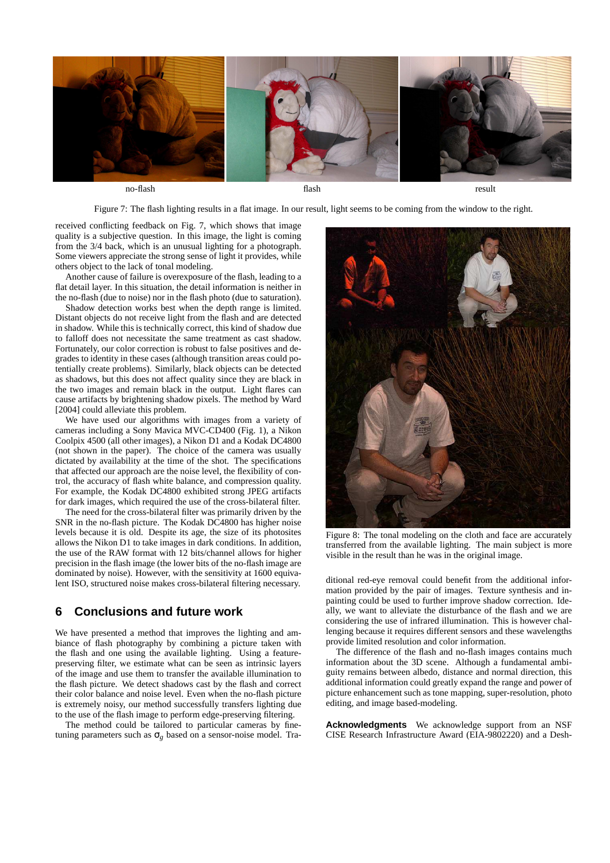

Figure 7: The flash lighting results in a flat image. In our result, light seems to be coming from the window to the right.

received conflicting feedback on Fig. 7, which shows that image quality is a subjective question. In this image, the light is coming from the 3/4 back, which is an unusual lighting for a photograph. Some viewers appreciate the strong sense of light it provides, while others object to the lack of tonal modeling.

Another cause of failure is overexposure of the flash, leading to a flat detail layer. In this situation, the detail information is neither in the no-flash (due to noise) nor in the flash photo (due to saturation).

Shadow detection works best when the depth range is limited. Distant objects do not receive light from the flash and are detected in shadow. While this is technically correct, this kind of shadow due to falloff does not necessitate the same treatment as cast shadow. Fortunately, our color correction is robust to false positives and degrades to identity in these cases (although transition areas could potentially create problems). Similarly, black objects can be detected as shadows, but this does not affect quality since they are black in the two images and remain black in the output. Light flares can cause artifacts by brightening shadow pixels. The method by Ward [2004] could alleviate this problem.

We have used our algorithms with images from a variety of cameras including a Sony Mavica MVC-CD400 (Fig. 1), a Nikon Coolpix 4500 (all other images), a Nikon D1 and a Kodak DC4800 (not shown in the paper). The choice of the camera was usually dictated by availability at the time of the shot. The specifications that affected our approach are the noise level, the flexibility of control, the accuracy of flash white balance, and compression quality. For example, the Kodak DC4800 exhibited strong JPEG artifacts for dark images, which required the use of the cross-bilateral filter.

The need for the cross-bilateral filter was primarily driven by the SNR in the no-flash picture. The Kodak DC4800 has higher noise levels because it is old. Despite its age, the size of its photosites allows the Nikon D1 to take images in dark conditions. In addition, the use of the RAW format with 12 bits/channel allows for higher precision in the flash image (the lower bits of the no-flash image are dominated by noise). However, with the sensitivity at 1600 equivalent ISO, structured noise makes cross-bilateral filtering necessary.

### **6 Conclusions and future work**

We have presented a method that improves the lighting and ambiance of flash photography by combining a picture taken with the flash and one using the available lighting. Using a featurepreserving filter, we estimate what can be seen as intrinsic layers of the image and use them to transfer the available illumination to the flash picture. We detect shadows cast by the flash and correct their color balance and noise level. Even when the no-flash picture is extremely noisy, our method successfully transfers lighting due to the use of the flash image to perform edge-preserving filtering.

The method could be tailored to particular cameras by finetuning parameters such as  $\sigma_g$  based on a sensor-noise model. Tra-



Figure 8: The tonal modeling on the cloth and face are accurately transferred from the available lighting. The main subject is more visible in the result than he was in the original image.

ditional red-eye removal could benefit from the additional information provided by the pair of images. Texture synthesis and inpainting could be used to further improve shadow correction. Ideally, we want to alleviate the disturbance of the flash and we are considering the use of infrared illumination. This is however challenging because it requires different sensors and these wavelengths provide limited resolution and color information.

The difference of the flash and no-flash images contains much information about the 3D scene. Although a fundamental ambiguity remains between albedo, distance and normal direction, this additional information could greatly expand the range and power of picture enhancement such as tone mapping, super-resolution, photo editing, and image based-modeling.

**Acknowledgments** We acknowledge support from an NSF CISE Research Infrastructure Award (EIA-9802220) and a Desh